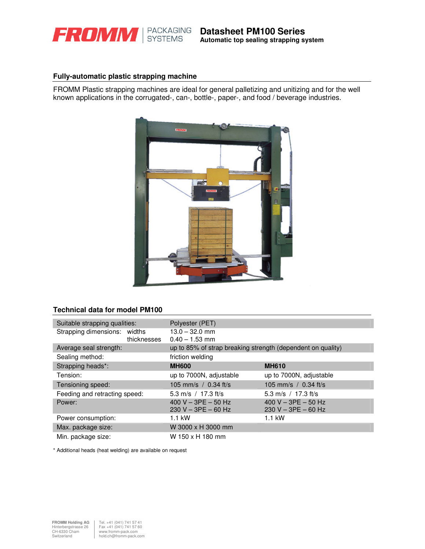

## **Fully-automatic plastic strapping machine**

FROMM Plastic strapping machines are ideal for general palletizing and unitizing and for the well known applications in the corrugated-, can-, bottle-, paper-, and food / beverage industries.



# **Technical data for model PM100**

| Suitable strapping qualities: | Polyester (PET)                                             |                         |  |  |
|-------------------------------|-------------------------------------------------------------|-------------------------|--|--|
| Strapping dimensions: widths  | $13.0 - 32.0$ mm                                            |                         |  |  |
| thicknesses                   | $0.40 - 1.53$ mm                                            |                         |  |  |
| Average seal strength:        | up to 85% of strap breaking strength (dependent on quality) |                         |  |  |
| Sealing method:               | friction welding                                            |                         |  |  |
| Strapping heads*:             | <b>MH600</b>                                                | <b>MH610</b>            |  |  |
| Tension:                      | up to 7000N, adjustable                                     | up to 7000N, adjustable |  |  |
| Tensioning speed:             | 105 mm/s $/$ 0.34 ft/s                                      | 105 mm/s / $0.34$ ft/s  |  |  |
| Feeding and retracting speed: | 5.3 m/s $/$ 17.3 ft/s                                       | 5.3 m/s $/$ 17.3 ft/s   |  |  |
| Power:                        | 400 V - 3PE - 50 Hz                                         | 400 V $-$ 3PE $-$ 50 Hz |  |  |
|                               | $230 V - 3PE - 60 Hz$                                       | $230 V - 3PE - 60 Hz$   |  |  |
| Power consumption:            | $1.1$ kW                                                    | $1.1$ kW                |  |  |
| Max. package size:            | W 3000 x H 3000 mm                                          |                         |  |  |
| Min. package size:            | W 150 x H 180 mm                                            |                         |  |  |

\* Additional heads (heat welding) are available on request